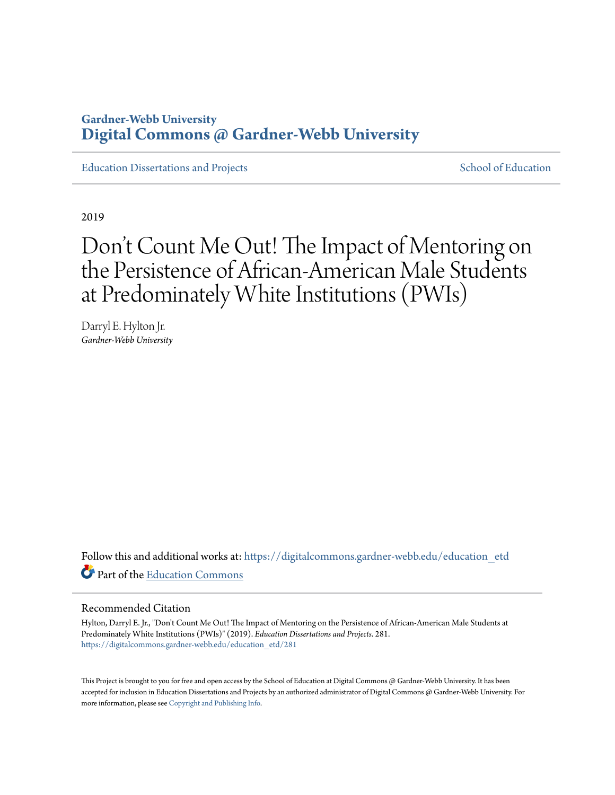# **Gardner-Webb University [Digital Commons @ Gardner-Webb University](https://digitalcommons.gardner-webb.edu?utm_source=digitalcommons.gardner-webb.edu%2Feducation_etd%2F281&utm_medium=PDF&utm_campaign=PDFCoverPages)**

[Education Dissertations and Projects](https://digitalcommons.gardner-webb.edu/education_etd?utm_source=digitalcommons.gardner-webb.edu%2Feducation_etd%2F281&utm_medium=PDF&utm_campaign=PDFCoverPages) [School of Education](https://digitalcommons.gardner-webb.edu/education?utm_source=digitalcommons.gardner-webb.edu%2Feducation_etd%2F281&utm_medium=PDF&utm_campaign=PDFCoverPages)

2019

# Don 't Count Me Out! The Impact of Mentoring on the Persistence of African-American Male Students at Predominately White Institutions (PWIs)

Darryl E. Hylton Jr. *Gardner-Webb University*

Follow this and additional works at: [https://digitalcommons.gardner-webb.edu/education\\_etd](https://digitalcommons.gardner-webb.edu/education_etd?utm_source=digitalcommons.gardner-webb.edu%2Feducation_etd%2F281&utm_medium=PDF&utm_campaign=PDFCoverPages) Part of the [Education Commons](http://network.bepress.com/hgg/discipline/784?utm_source=digitalcommons.gardner-webb.edu%2Feducation_etd%2F281&utm_medium=PDF&utm_campaign=PDFCoverPages)

#### Recommended Citation

Hylton, Darryl E. Jr., "Don't Count Me Out! The Impact of Mentoring on the Persistence of African-American Male Students at Predominately White Institutions (PWIs)" (2019). *Education Dissertations and Projects*. 281. [https://digitalcommons.gardner-webb.edu/education\\_etd/281](https://digitalcommons.gardner-webb.edu/education_etd/281?utm_source=digitalcommons.gardner-webb.edu%2Feducation_etd%2F281&utm_medium=PDF&utm_campaign=PDFCoverPages)

This Project is brought to you for free and open access by the School of Education at Digital Commons @ Gardner-Webb University. It has been accepted for inclusion in Education Dissertations and Projects by an authorized administrator of Digital Commons @ Gardner-Webb University. For more information, please see [Copyright and Publishing Info](https://digitalcommons.gardner-webb.edu/copyright_publishing.html).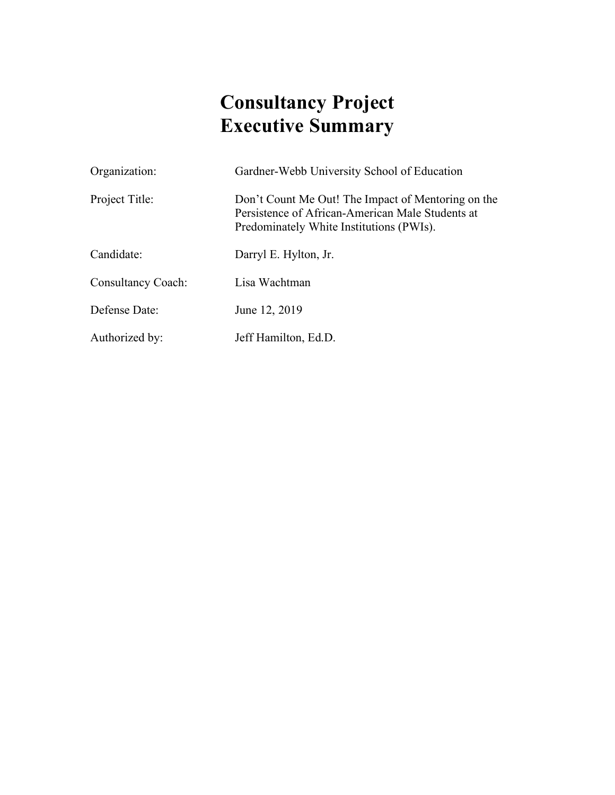# **Consultancy Project Executive Summary**

| Organization:             | Gardner-Webb University School of Education                                                                                                        |
|---------------------------|----------------------------------------------------------------------------------------------------------------------------------------------------|
| Project Title:            | Don't Count Me Out! The Impact of Mentoring on the<br>Persistence of African-American Male Students at<br>Predominately White Institutions (PWIs). |
| Candidate:                | Darryl E. Hylton, Jr.                                                                                                                              |
| <b>Consultancy Coach:</b> | Lisa Wachtman                                                                                                                                      |
| Defense Date:             | June 12, 2019                                                                                                                                      |
| Authorized by:            | Jeff Hamilton, Ed.D.                                                                                                                               |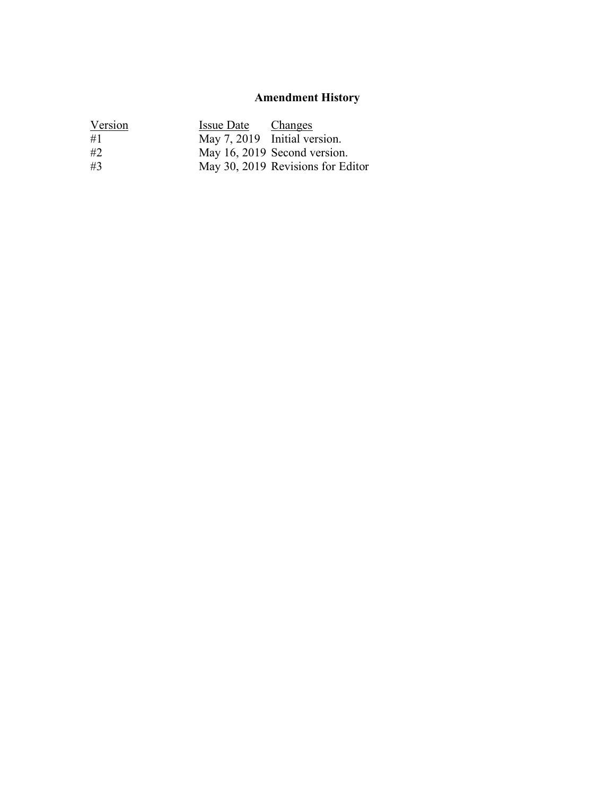# **Amendment History**

| Version | Issue Date Changes |                                   |
|---------|--------------------|-----------------------------------|
| #1      |                    | May 7, 2019 Initial version.      |
| #2      |                    | May 16, 2019 Second version.      |
| #3      |                    | May 30, 2019 Revisions for Editor |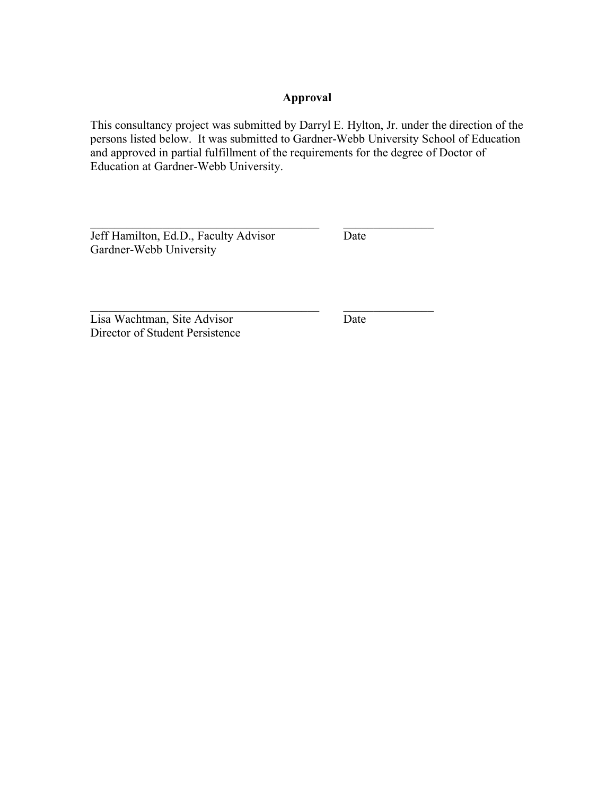## **Approval**

This consultancy project was submitted by Darryl E. Hylton, Jr. under the direction of the persons listed below. It was submitted to Gardner-Webb University School of Education and approved in partial fulfillment of the requirements for the degree of Doctor of Education at Gardner-Webb University.

 $\mathcal{L}_\text{max}$  , and the contribution of the contribution of  $\mathcal{L}_\text{max}$ 

 $\mathcal{L}_\text{max}$  , and the contribution of the contribution of  $\mathcal{L}_\text{max}$ 

Jeff Hamilton, Ed.D., Faculty Advisor Date Gardner-Webb University

Lisa Wachtman, Site Advisor Date Director of Student Persistence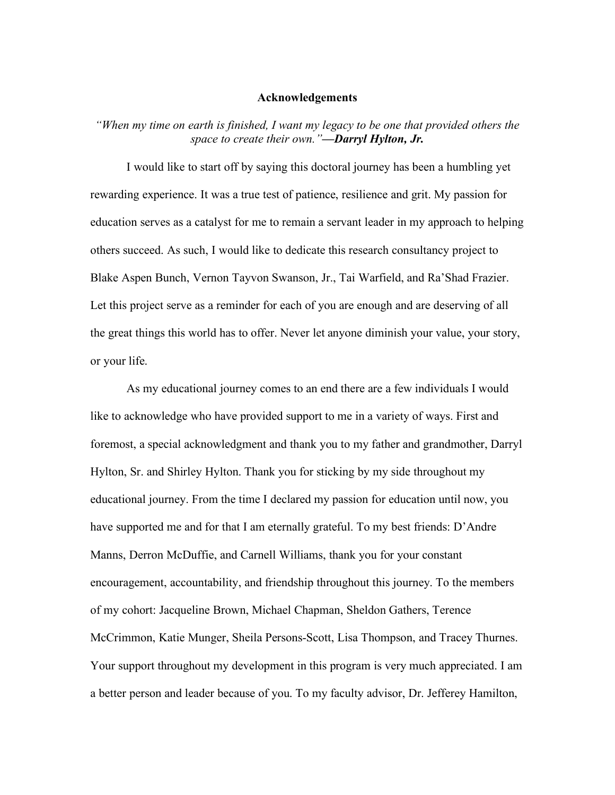#### **Acknowledgements**

*"When my time on earth is finished, I want my legacy to be one that provided others the space to create their own."—Darryl Hylton, Jr.*

I would like to start off by saying this doctoral journey has been a humbling yet rewarding experience. It was a true test of patience, resilience and grit. My passion for education serves as a catalyst for me to remain a servant leader in my approach to helping others succeed. As such, I would like to dedicate this research consultancy project to Blake Aspen Bunch, Vernon Tayvon Swanson, Jr., Tai Warfield, and Ra'Shad Frazier. Let this project serve as a reminder for each of you are enough and are deserving of all the great things this world has to offer. Never let anyone diminish your value, your story, or your life.

As my educational journey comes to an end there are a few individuals I would like to acknowledge who have provided support to me in a variety of ways. First and foremost, a special acknowledgment and thank you to my father and grandmother, Darryl Hylton, Sr. and Shirley Hylton. Thank you for sticking by my side throughout my educational journey. From the time I declared my passion for education until now, you have supported me and for that I am eternally grateful. To my best friends: D'Andre Manns, Derron McDuffie, and Carnell Williams, thank you for your constant encouragement, accountability, and friendship throughout this journey. To the members of my cohort: Jacqueline Brown, Michael Chapman, Sheldon Gathers, Terence McCrimmon, Katie Munger, Sheila Persons-Scott, Lisa Thompson, and Tracey Thurnes. Your support throughout my development in this program is very much appreciated. I am a better person and leader because of you. To my faculty advisor, Dr. Jefferey Hamilton,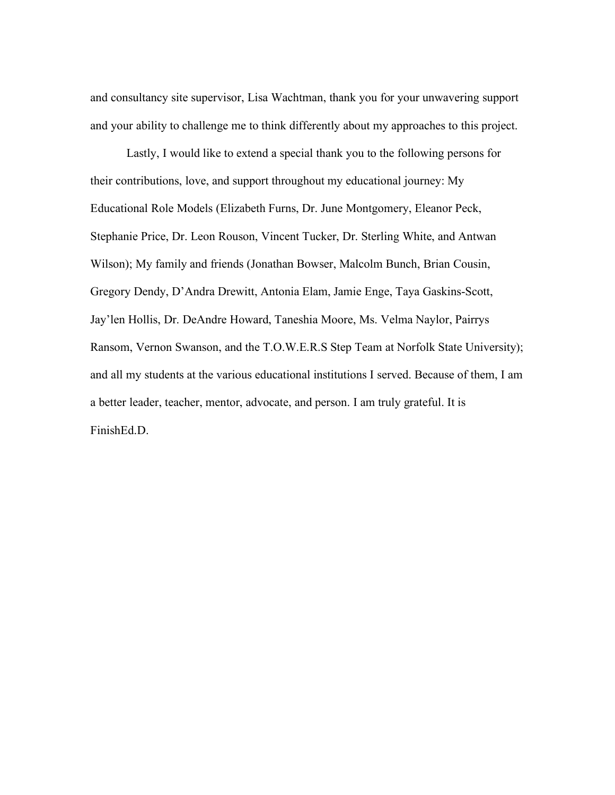and consultancy site supervisor, Lisa Wachtman, thank you for your unwavering support and your ability to challenge me to think differently about my approaches to this project.

Lastly, I would like to extend a special thank you to the following persons for their contributions, love, and support throughout my educational journey: My Educational Role Models (Elizabeth Furns, Dr. June Montgomery, Eleanor Peck, Stephanie Price, Dr. Leon Rouson, Vincent Tucker, Dr. Sterling White, and Antwan Wilson); My family and friends (Jonathan Bowser, Malcolm Bunch, Brian Cousin, Gregory Dendy, D'Andra Drewitt, Antonia Elam, Jamie Enge, Taya Gaskins-Scott, Jay'len Hollis, Dr. DeAndre Howard, Taneshia Moore, Ms. Velma Naylor, Pairrys Ransom, Vernon Swanson, and the T.O.W.E.R.S Step Team at Norfolk State University); and all my students at the various educational institutions I served. Because of them, I am a better leader, teacher, mentor, advocate, and person. I am truly grateful. It is FinishEd.D.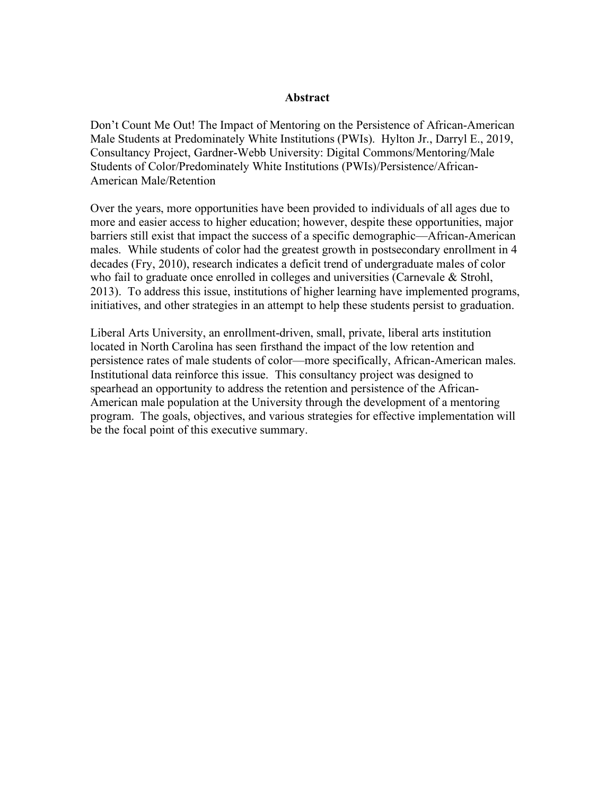#### **Abstract**

Don't Count Me Out! The Impact of Mentoring on the Persistence of African-American Male Students at Predominately White Institutions (PWIs). Hylton Jr., Darryl E., 2019, Consultancy Project, Gardner-Webb University: Digital Commons/Mentoring/Male Students of Color/Predominately White Institutions (PWIs)/Persistence/African-American Male/Retention

Over the years, more opportunities have been provided to individuals of all ages due to more and easier access to higher education; however, despite these opportunities, major barriers still exist that impact the success of a specific demographic—African-American males. While students of color had the greatest growth in postsecondary enrollment in 4 decades (Fry, 2010), research indicates a deficit trend of undergraduate males of color who fail to graduate once enrolled in colleges and universities (Carnevale & Strohl, 2013). To address this issue, institutions of higher learning have implemented programs, initiatives, and other strategies in an attempt to help these students persist to graduation.

Liberal Arts University, an enrollment-driven, small, private, liberal arts institution located in North Carolina has seen firsthand the impact of the low retention and persistence rates of male students of color—more specifically, African-American males. Institutional data reinforce this issue. This consultancy project was designed to spearhead an opportunity to address the retention and persistence of the African-American male population at the University through the development of a mentoring program. The goals, objectives, and various strategies for effective implementation will be the focal point of this executive summary.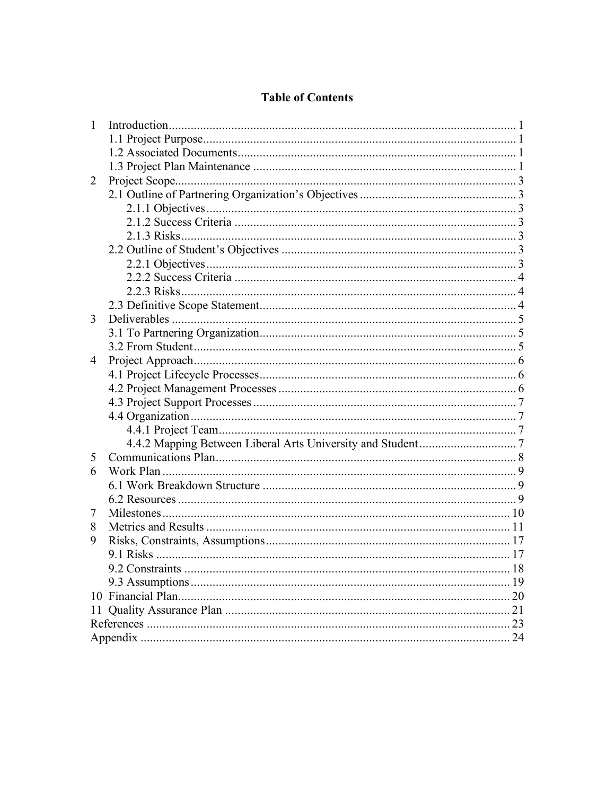## **Table of Contents**

| $\mathbf{1}$ |    |
|--------------|----|
|              |    |
|              |    |
|              |    |
| 2            |    |
|              |    |
|              |    |
|              |    |
|              |    |
|              |    |
|              |    |
|              |    |
|              |    |
|              |    |
| 3            |    |
|              |    |
|              |    |
| 4            |    |
|              |    |
|              |    |
|              |    |
|              |    |
|              |    |
|              |    |
| 5            |    |
| 6            |    |
|              |    |
|              |    |
| 7            |    |
| 8            |    |
| 9            |    |
|              |    |
|              |    |
|              |    |
|              | 20 |
| 11           |    |
|              |    |
|              |    |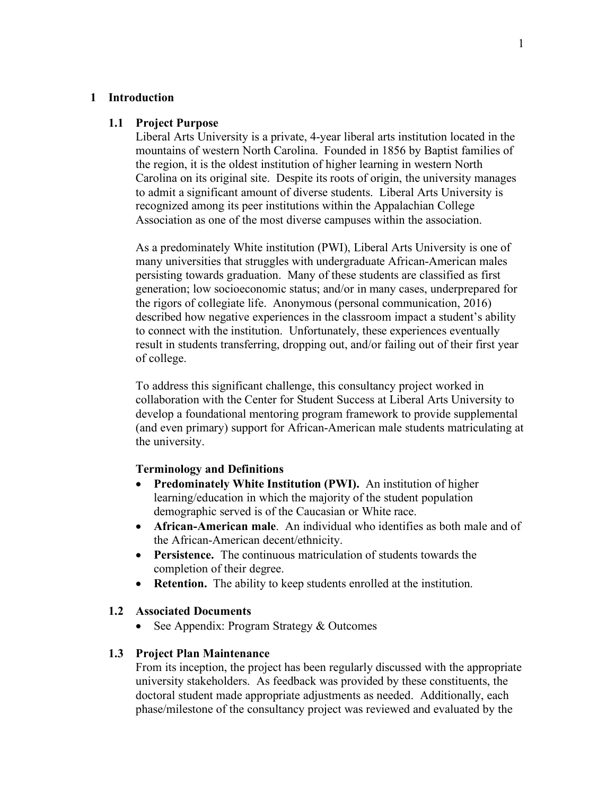#### **1 Introduction**

#### **1.1 Project Purpose**

Liberal Arts University is a private, 4-year liberal arts institution located in the mountains of western North Carolina. Founded in 1856 by Baptist families of the region, it is the oldest institution of higher learning in western North Carolina on its original site. Despite its roots of origin, the university manages to admit a significant amount of diverse students. Liberal Arts University is recognized among its peer institutions within the Appalachian College Association as one of the most diverse campuses within the association.

As a predominately White institution (PWI), Liberal Arts University is one of many universities that struggles with undergraduate African-American males persisting towards graduation. Many of these students are classified as first generation; low socioeconomic status; and/or in many cases, underprepared for the rigors of collegiate life. Anonymous (personal communication, 2016) described how negative experiences in the classroom impact a student's ability to connect with the institution. Unfortunately, these experiences eventually result in students transferring, dropping out, and/or failing out of their first year of college.

To address this significant challenge, this consultancy project worked in collaboration with the Center for Student Success at Liberal Arts University to develop a foundational mentoring program framework to provide supplemental (and even primary) support for African-American male students matriculating at the university.

### **Terminology and Definitions**

- **Predominately White Institution (PWI).** An institution of higher learning/education in which the majority of the student population demographic served is of the Caucasian or White race.
- **African-American male**. An individual who identifies as both male and of the African-American decent/ethnicity.
- **Persistence.** The continuous matriculation of students towards the completion of their degree.
- **Retention.** The ability to keep students enrolled at the institution.

#### **1.2 Associated Documents**

See Appendix: Program Strategy & Outcomes

#### **1.3 Project Plan Maintenance**

From its inception, the project has been regularly discussed with the appropriate university stakeholders. As feedback was provided by these constituents, the doctoral student made appropriate adjustments as needed. Additionally, each phase/milestone of the consultancy project was reviewed and evaluated by the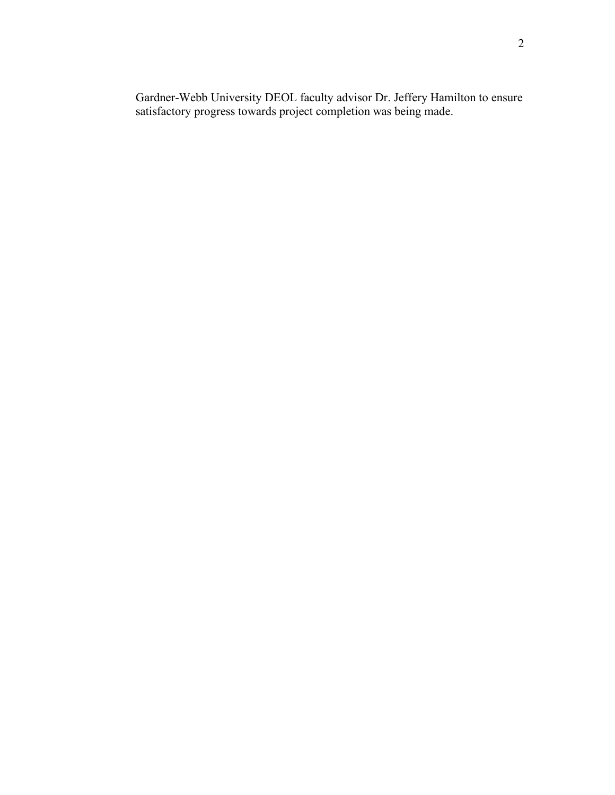Gardner-Webb University DEOL faculty advisor Dr. Jeffery Hamilton to ensure satisfactory progress towards project completion was being made.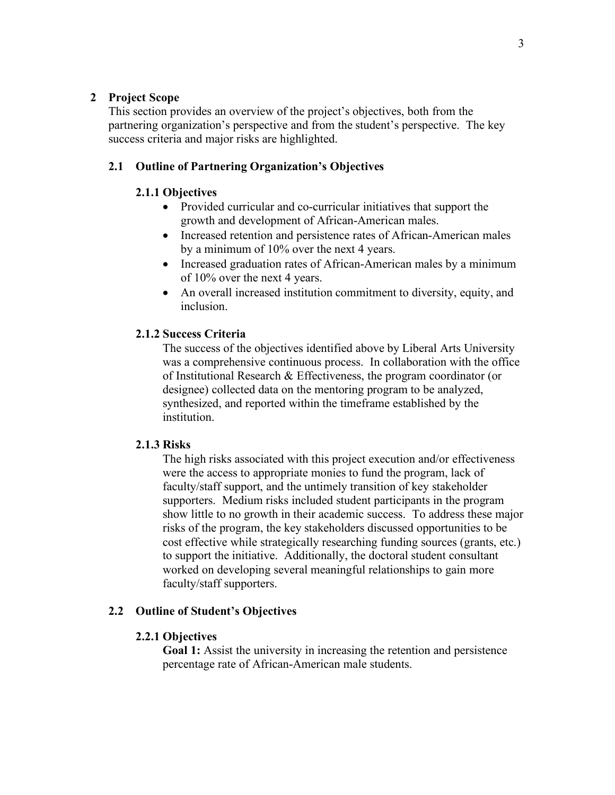## **2 Project Scope**

This section provides an overview of the project's objectives, both from the partnering organization's perspective and from the student's perspective. The key success criteria and major risks are highlighted.

## **2.1 Outline of Partnering Organization's Objectives**

### **2.1.1 Objectives**

- Provided curricular and co-curricular initiatives that support the growth and development of African-American males.
- Increased retention and persistence rates of African-American males by a minimum of 10% over the next 4 years.
- Increased graduation rates of African-American males by a minimum of 10% over the next 4 years.
- An overall increased institution commitment to diversity, equity, and inclusion.

### **2.1.2 Success Criteria**

The success of the objectives identified above by Liberal Arts University was a comprehensive continuous process. In collaboration with the office of Institutional Research & Effectiveness, the program coordinator (or designee) collected data on the mentoring program to be analyzed, synthesized, and reported within the timeframe established by the institution.

## **2.1.3 Risks**

The high risks associated with this project execution and/or effectiveness were the access to appropriate monies to fund the program, lack of faculty/staff support, and the untimely transition of key stakeholder supporters. Medium risks included student participants in the program show little to no growth in their academic success. To address these major risks of the program, the key stakeholders discussed opportunities to be cost effective while strategically researching funding sources (grants, etc.) to support the initiative. Additionally, the doctoral student consultant worked on developing several meaningful relationships to gain more faculty/staff supporters.

#### **2.2 Outline of Student's Objectives**

#### **2.2.1 Objectives**

**Goal 1:** Assist the university in increasing the retention and persistence percentage rate of African-American male students.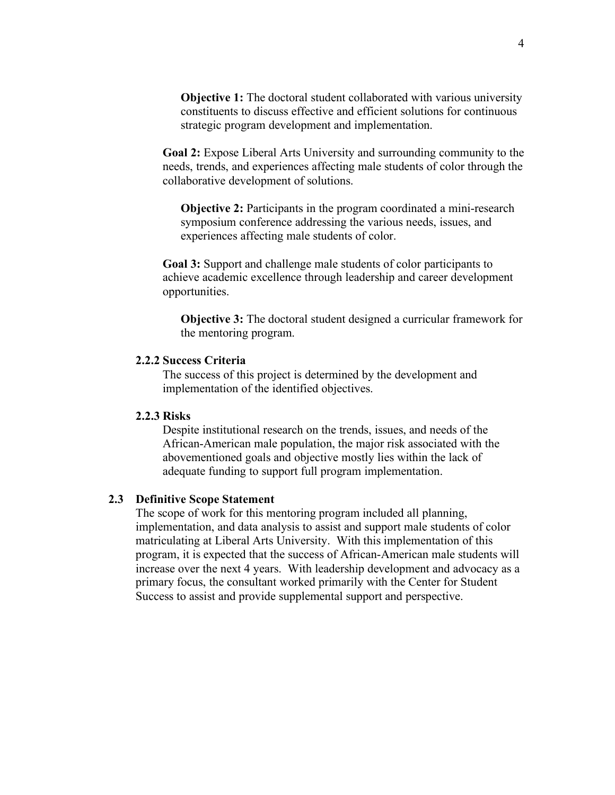**Objective 1:** The doctoral student collaborated with various university constituents to discuss effective and efficient solutions for continuous strategic program development and implementation.

**Goal 2:** Expose Liberal Arts University and surrounding community to the needs, trends, and experiences affecting male students of color through the collaborative development of solutions.

**Objective 2:** Participants in the program coordinated a mini-research symposium conference addressing the various needs, issues, and experiences affecting male students of color.

**Goal 3:** Support and challenge male students of color participants to achieve academic excellence through leadership and career development opportunities.

**Objective 3:** The doctoral student designed a curricular framework for the mentoring program.

#### **2.2.2 Success Criteria**

The success of this project is determined by the development and implementation of the identified objectives.

### **2.2.3 Risks**

Despite institutional research on the trends, issues, and needs of the African-American male population, the major risk associated with the abovementioned goals and objective mostly lies within the lack of adequate funding to support full program implementation.

#### **2.3 Definitive Scope Statement**

The scope of work for this mentoring program included all planning, implementation, and data analysis to assist and support male students of color matriculating at Liberal Arts University. With this implementation of this program, it is expected that the success of African-American male students will increase over the next 4 years. With leadership development and advocacy as a primary focus, the consultant worked primarily with the Center for Student Success to assist and provide supplemental support and perspective.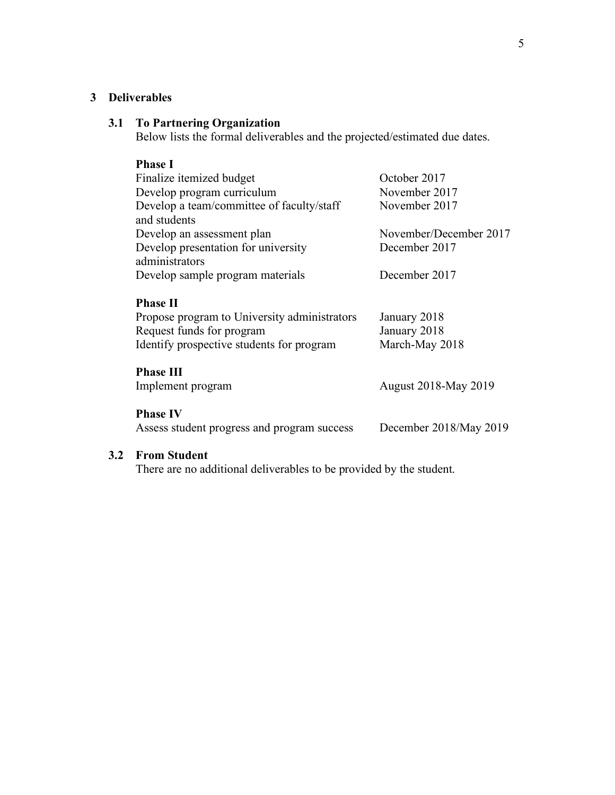## **3 Deliverables**

## **3.1 To Partnering Organization**

Below lists the formal deliverables and the projected/estimated due dates.

| <b>Phase I</b>                               |                             |
|----------------------------------------------|-----------------------------|
| Finalize itemized budget                     | October 2017                |
| Develop program curriculum                   | November 2017               |
| Develop a team/committee of faculty/staff    | November 2017               |
| and students                                 |                             |
| Develop an assessment plan                   | November/December 2017      |
| Develop presentation for university          | December 2017               |
| administrators                               |                             |
| Develop sample program materials             | December 2017               |
|                                              |                             |
| <b>Phase II</b>                              |                             |
| Propose program to University administrators | January 2018                |
| Request funds for program                    | January 2018                |
| Identify prospective students for program    | March-May 2018              |
|                                              |                             |
| <b>Phase III</b>                             |                             |
| Implement program                            | <b>August 2018-May 2019</b> |
|                                              |                             |
| <b>Phase IV</b>                              |                             |
| Assess student progress and program success  | December 2018/May 2019      |
|                                              |                             |

## **3.2 From Student**

There are no additional deliverables to be provided by the student.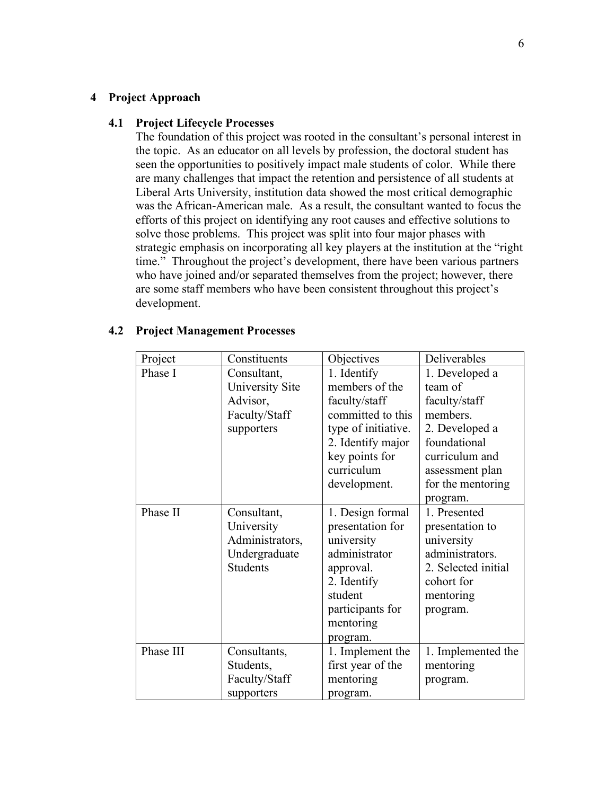#### **4 Project Approach**

#### **4.1 Project Lifecycle Processes**

The foundation of this project was rooted in the consultant's personal interest in the topic. As an educator on all levels by profession, the doctoral student has seen the opportunities to positively impact male students of color. While there are many challenges that impact the retention and persistence of all students at Liberal Arts University, institution data showed the most critical demographic was the African-American male. As a result, the consultant wanted to focus the efforts of this project on identifying any root causes and effective solutions to solve those problems. This project was split into four major phases with strategic emphasis on incorporating all key players at the institution at the "right time." Throughout the project's development, there have been various partners who have joined and/or separated themselves from the project; however, there are some staff members who have been consistent throughout this project's development.

| Project   | Constituents    | Objectives          | Deliverables        |
|-----------|-----------------|---------------------|---------------------|
| Phase I   | Consultant,     | 1. Identify         | 1. Developed a      |
|           | University Site | members of the      | team of             |
|           | Advisor,        | faculty/staff       | faculty/staff       |
|           | Faculty/Staff   | committed to this   | members.            |
|           | supporters      | type of initiative. | 2. Developed a      |
|           |                 | 2. Identify major   | foundational        |
|           |                 | key points for      | curriculum and      |
|           |                 | curriculum          | assessment plan     |
|           |                 | development.        | for the mentoring   |
|           |                 |                     | program.            |
| Phase II  | Consultant,     | 1. Design formal    | 1. Presented        |
|           | University      | presentation for    | presentation to     |
|           | Administrators, | university          | university          |
|           | Undergraduate   | administrator       | administrators.     |
|           | <b>Students</b> | approval.           | 2. Selected initial |
|           |                 | 2. Identify         | cohort for          |
|           |                 | student             | mentoring           |
|           |                 | participants for    | program.            |
|           |                 | mentoring           |                     |
|           |                 | program.            |                     |
| Phase III | Consultants,    | 1. Implement the    | 1. Implemented the  |
|           | Students,       | first year of the   | mentoring           |
|           | Faculty/Staff   | mentoring           | program.            |
|           | supporters      | program.            |                     |

#### **4.2 Project Management Processes**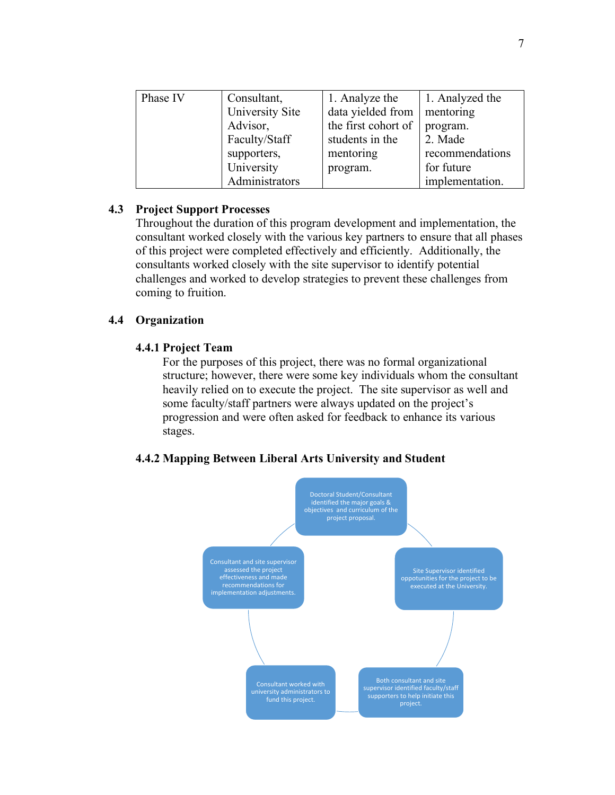| Phase IV | Consultant,     | 1. Analyze the      | 1. Analyzed the |
|----------|-----------------|---------------------|-----------------|
|          | University Site | data yielded from   | mentoring       |
|          | Advisor,        | the first cohort of | program.        |
|          | Faculty/Staff   | students in the     | 2. Made         |
|          | supporters,     | mentoring           | recommendations |
|          | University      | program.            | for future      |
|          | Administrators  |                     | implementation. |

## **4.3 Project Support Processes**

Throughout the duration of this program development and implementation, the consultant worked closely with the various key partners to ensure that all phases of this project were completed effectively and efficiently. Additionally, the consultants worked closely with the site supervisor to identify potential challenges and worked to develop strategies to prevent these challenges from coming to fruition.

## **4.4 Organization**

## **4.4.1 Project Team**

For the purposes of this project, there was no formal organizational structure; however, there were some key individuals whom the consultant heavily relied on to execute the project. The site supervisor as well and some faculty/staff partners were always updated on the project's progression and were often asked for feedback to enhance its various stages.

## **4.4.2 Mapping Between Liberal Arts University and Student**

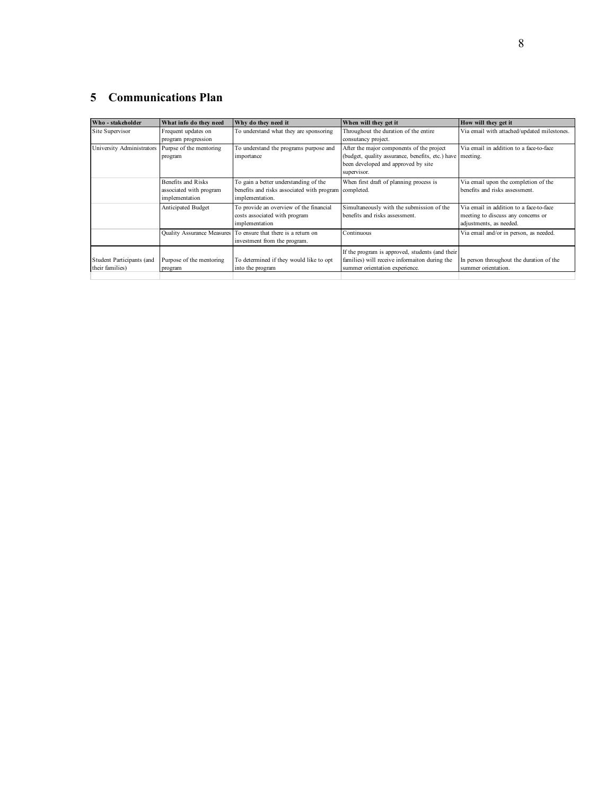# **5 Communications Plan**

| Who - stakeholder         | What info do they need   | Why do they need it                                            | When will they get it                                     | How will they get it                        |
|---------------------------|--------------------------|----------------------------------------------------------------|-----------------------------------------------------------|---------------------------------------------|
| Site Supervisor           | Frequent updates on      | To understand what they are sponsoring                         | Throughout the duration of the entire                     | Via email with attached/updated milestones. |
|                           | program progression      |                                                                | consutancy project.                                       |                                             |
| University Administrators | Purpse of the mentoring  | To understand the programs purpose and                         | After the major components of the project                 | Via email in addition to a face-to-face     |
|                           | program                  | importance                                                     | (budget, quality assurance, benefits, etc.) have meeting. |                                             |
|                           |                          |                                                                | been developed and approved by site                       |                                             |
|                           |                          |                                                                | supervisor.                                               |                                             |
|                           | Benefits and Risks       | To gain a better understanding of the                          | When first draft of planning process is                   | Via email upon the completion of the        |
|                           | associated with program  | benefits and risks associated with program                     | completed.                                                | benefits and risks assessment.              |
|                           | implementation           | implementation.                                                |                                                           |                                             |
|                           | Anticipated Budget       | To provide an overview of the financial                        | Simultaneously with the submission of the                 | Via email in addition to a face-to-face     |
|                           |                          | costs associated with program                                  | benefits and risks assessment.                            | meeting to discuss any concerns or          |
|                           |                          | implementation                                                 |                                                           | adjustments, as needed.                     |
|                           |                          | Quality Assurance Measures To ensure that there is a return on | Continuous                                                | Via email and/or in person, as needed.      |
|                           |                          | investment from the program.                                   |                                                           |                                             |
|                           |                          |                                                                | If the program is approved, students (and their           |                                             |
| Student Participants (and | Purpose of the mentoring | To determined if they would like to opt                        | families) will receive informaiton during the             | In person throughout the duration of the    |
| their families)           | program                  | into the program                                               | summer orientation experience.                            | summer orientation.                         |
|                           |                          |                                                                |                                                           |                                             |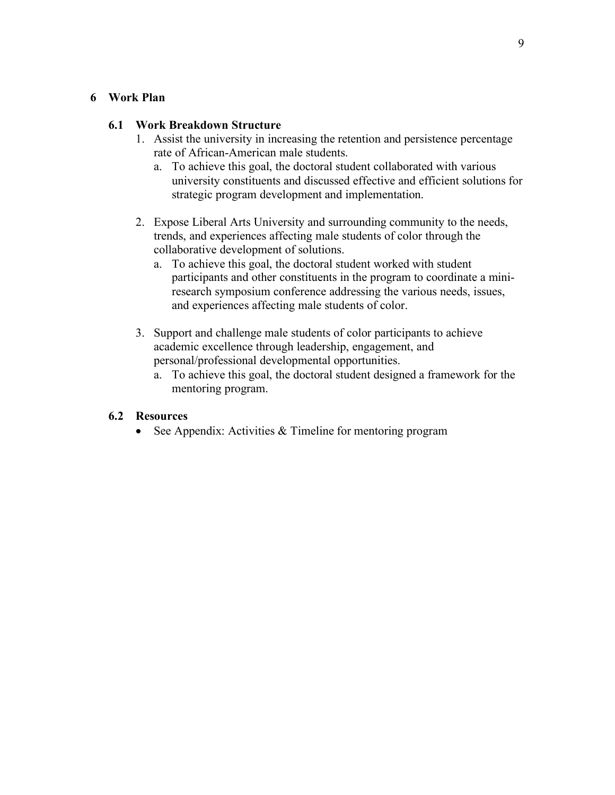## **6 Work Plan**

## **6.1 Work Breakdown Structure**

- 1. Assist the university in increasing the retention and persistence percentage rate of African-American male students.
	- a. To achieve this goal, the doctoral student collaborated with various university constituents and discussed effective and efficient solutions for strategic program development and implementation.
- 2. Expose Liberal Arts University and surrounding community to the needs, trends, and experiences affecting male students of color through the collaborative development of solutions.
	- a. To achieve this goal, the doctoral student worked with student participants and other constituents in the program to coordinate a miniresearch symposium conference addressing the various needs, issues, and experiences affecting male students of color.
- 3. Support and challenge male students of color participants to achieve academic excellence through leadership, engagement, and personal/professional developmental opportunities.
	- a. To achieve this goal, the doctoral student designed a framework for the mentoring program.

## **6.2 Resources**

See Appendix: Activities  $&$  Timeline for mentoring program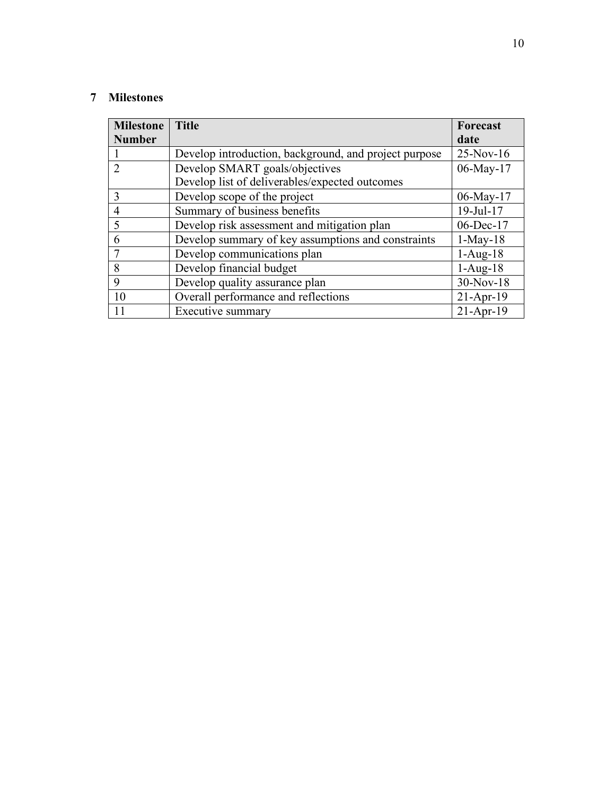## **Milestones**

| <b>Milestone</b> | <b>Title</b>                                          | Forecast        |
|------------------|-------------------------------------------------------|-----------------|
| <b>Number</b>    |                                                       | date            |
|                  | Develop introduction, background, and project purpose | 25-Nov-16       |
|                  | Develop SMART goals/objectives                        | 06-May-17       |
|                  | Develop list of deliverables/expected outcomes        |                 |
| 3                | Develop scope of the project                          | 06-May-17       |
|                  | Summary of business benefits                          | $19$ -Jul- $17$ |
| 5                | Develop risk assessment and mitigation plan           | 06-Dec-17       |
| 6                | Develop summary of key assumptions and constraints    | $1-May-18$      |
|                  | Develop communications plan                           | $1-Aug-18$      |
| 8                | Develop financial budget                              | $1-Aug-18$      |
| 9                | Develop quality assurance plan                        | 30-Nov-18       |
| 10               | Overall performance and reflections                   | $21-Apr-19$     |
| 11               | Executive summary                                     | $21-Apr-19$     |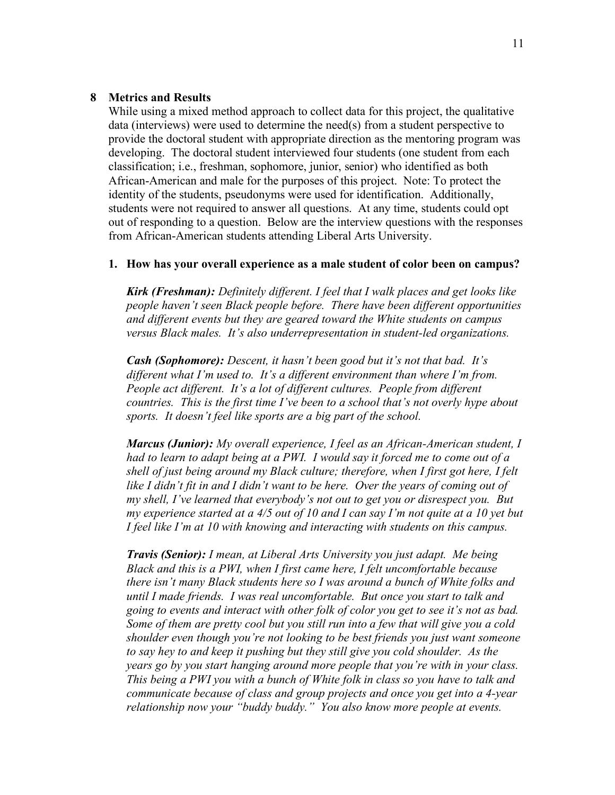#### **8 Metrics and Results**

While using a mixed method approach to collect data for this project, the qualitative data (interviews) were used to determine the need(s) from a student perspective to provide the doctoral student with appropriate direction as the mentoring program was developing. The doctoral student interviewed four students (one student from each classification; i.e., freshman, sophomore, junior, senior) who identified as both African-American and male for the purposes of this project. Note: To protect the identity of the students, pseudonyms were used for identification. Additionally, students were not required to answer all questions. At any time, students could opt out of responding to a question. Below are the interview questions with the responses from African-American students attending Liberal Arts University.

#### **1. How has your overall experience as a male student of color been on campus?**

*Kirk (Freshman): Definitely different. I feel that I walk places and get looks like people haven't seen Black people before. There have been different opportunities and different events but they are geared toward the White students on campus versus Black males. It's also underrepresentation in student-led organizations.* 

*Cash (Sophomore): Descent, it hasn't been good but it's not that bad. It's different what I'm used to. It's a different environment than where I'm from. People act different. It's a lot of different cultures. People from different countries. This is the first time I've been to a school that's not overly hype about sports. It doesn't feel like sports are a big part of the school.*

*Marcus (Junior): My overall experience, I feel as an African-American student, I had to learn to adapt being at a PWI. I would say it forced me to come out of a shell of just being around my Black culture; therefore, when I first got here, I felt like I didn't fit in and I didn't want to be here. Over the years of coming out of my shell, I've learned that everybody's not out to get you or disrespect you. But my experience started at a 4/5 out of 10 and I can say I'm not quite at a 10 yet but I feel like I'm at 10 with knowing and interacting with students on this campus.*

*Travis (Senior): I mean, at Liberal Arts University you just adapt. Me being Black and this is a PWI, when I first came here, I felt uncomfortable because there isn't many Black students here so I was around a bunch of White folks and until I made friends. I was real uncomfortable. But once you start to talk and going to events and interact with other folk of color you get to see it's not as bad. Some of them are pretty cool but you still run into a few that will give you a cold shoulder even though you're not looking to be best friends you just want someone to say hey to and keep it pushing but they still give you cold shoulder. As the years go by you start hanging around more people that you're with in your class. This being a PWI you with a bunch of White folk in class so you have to talk and communicate because of class and group projects and once you get into a 4-year relationship now your "buddy buddy." You also know more people at events.*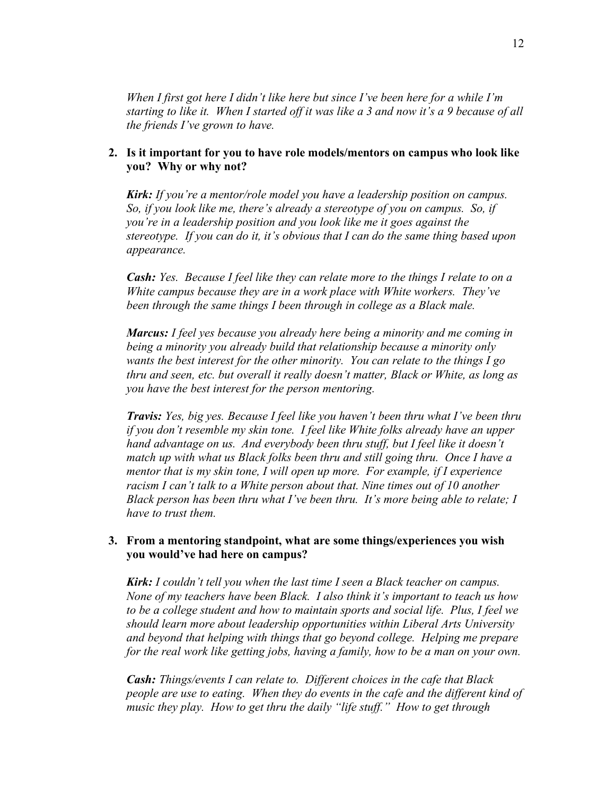*When I first got here I didn't like here but since I've been here for a while I'm starting to like it. When I started off it was like a 3 and now it's a 9 because of all the friends I've grown to have.*

## **2. Is it important for you to have role models/mentors on campus who look like you? Why or why not?**

*Kirk: If you're a mentor/role model you have a leadership position on campus. So, if you look like me, there's already a stereotype of you on campus. So, if you're in a leadership position and you look like me it goes against the stereotype. If you can do it, it's obvious that I can do the same thing based upon appearance.*

*Cash: Yes. Because I feel like they can relate more to the things I relate to on a White campus because they are in a work place with White workers. They've been through the same things I been through in college as a Black male.*

*Marcus: I feel yes because you already here being a minority and me coming in being a minority you already build that relationship because a minority only wants the best interest for the other minority. You can relate to the things I go thru and seen, etc. but overall it really doesn't matter, Black or White, as long as you have the best interest for the person mentoring.* 

*Travis: Yes, big yes. Because I feel like you haven't been thru what I've been thru if you don't resemble my skin tone. I feel like White folks already have an upper hand advantage on us. And everybody been thru stuff, but I feel like it doesn't match up with what us Black folks been thru and still going thru. Once I have a mentor that is my skin tone, I will open up more. For example, if I experience racism I can't talk to a White person about that. Nine times out of 10 another Black person has been thru what I've been thru. It's more being able to relate; I have to trust them.*

## **3. From a mentoring standpoint, what are some things/experiences you wish you would've had here on campus?**

*Kirk: I couldn't tell you when the last time I seen a Black teacher on campus. None of my teachers have been Black. I also think it's important to teach us how to be a college student and how to maintain sports and social life. Plus, I feel we should learn more about leadership opportunities within Liberal Arts University and beyond that helping with things that go beyond college. Helping me prepare for the real work like getting jobs, having a family, how to be a man on your own.*

*Cash: Things/events I can relate to. Different choices in the cafe that Black people are use to eating. When they do events in the cafe and the different kind of music they play. How to get thru the daily "life stuff." How to get through*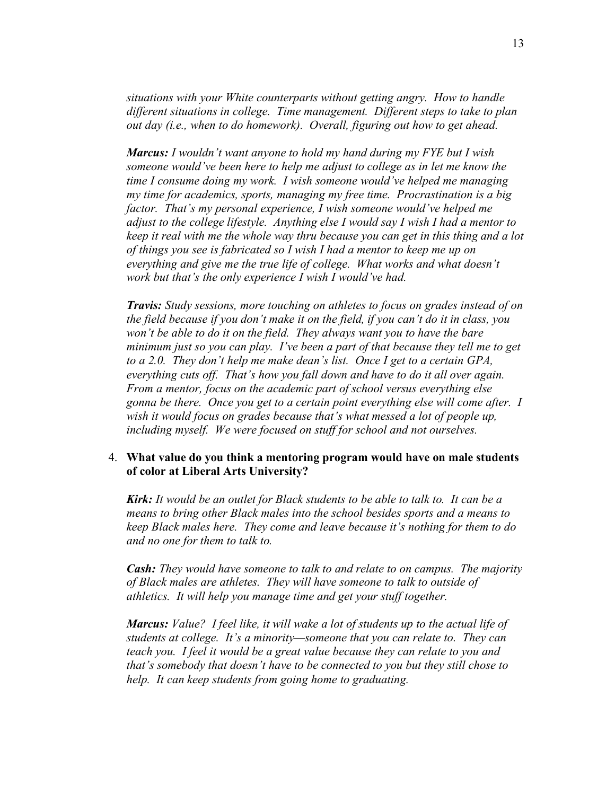*situations with your White counterparts without getting angry. How to handle different situations in college. Time management. Different steps to take to plan out day (i.e., when to do homework). Overall, figuring out how to get ahead.* 

*Marcus: I wouldn't want anyone to hold my hand during my FYE but I wish someone would've been here to help me adjust to college as in let me know the time I consume doing my work. I wish someone would've helped me managing my time for academics, sports, managing my free time. Procrastination is a big factor. That's my personal experience, I wish someone would've helped me adjust to the college lifestyle. Anything else I would say I wish I had a mentor to keep it real with me the whole way thru because you can get in this thing and a lot of things you see is fabricated so I wish I had a mentor to keep me up on everything and give me the true life of college. What works and what doesn't work but that's the only experience I wish I would've had.*

*Travis: Study sessions, more touching on athletes to focus on grades instead of on the field because if you don't make it on the field, if you can't do it in class, you won't be able to do it on the field. They always want you to have the bare minimum just so you can play. I've been a part of that because they tell me to get to a 2.0. They don't help me make dean's list. Once I get to a certain GPA, everything cuts off. That's how you fall down and have to do it all over again. From a mentor, focus on the academic part of school versus everything else gonna be there. Once you get to a certain point everything else will come after. I wish it would focus on grades because that's what messed a lot of people up, including myself. We were focused on stuff for school and not ourselves.*

### 4. **What value do you think a mentoring program would have on male students of color at Liberal Arts University?**

*Kirk: It would be an outlet for Black students to be able to talk to. It can be a means to bring other Black males into the school besides sports and a means to keep Black males here. They come and leave because it's nothing for them to do and no one for them to talk to.*

*Cash: They would have someone to talk to and relate to on campus. The majority of Black males are athletes. They will have someone to talk to outside of athletics. It will help you manage time and get your stuff together.*

*Marcus: Value? I feel like, it will wake a lot of students up to the actual life of students at college. It's a minority—someone that you can relate to. They can teach you. I feel it would be a great value because they can relate to you and that's somebody that doesn't have to be connected to you but they still chose to help. It can keep students from going home to graduating.*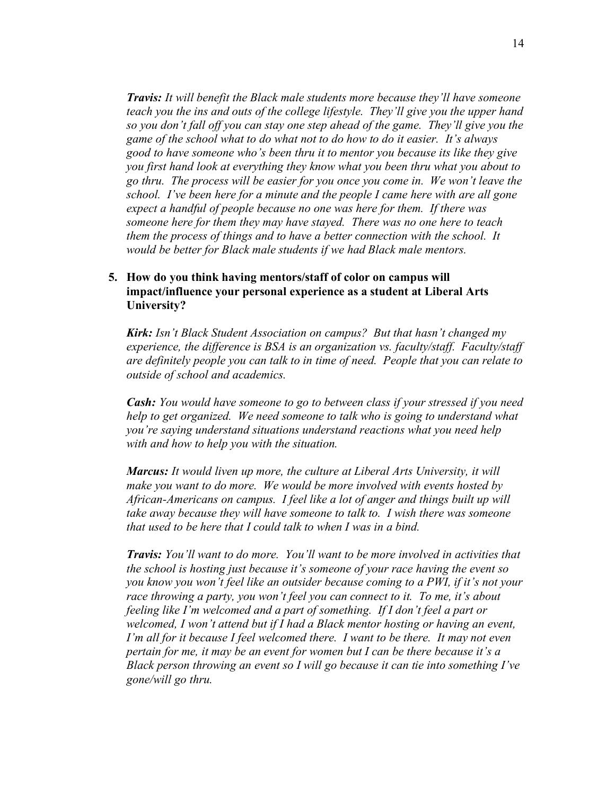*Travis: It will benefit the Black male students more because they'll have someone teach you the ins and outs of the college lifestyle. They'll give you the upper hand so you don't fall off you can stay one step ahead of the game. They'll give you the game of the school what to do what not to do how to do it easier. It's always good to have someone who's been thru it to mentor you because its like they give you first hand look at everything they know what you been thru what you about to go thru. The process will be easier for you once you come in. We won't leave the school. I've been here for a minute and the people I came here with are all gone expect a handful of people because no one was here for them. If there was someone here for them they may have stayed. There was no one here to teach them the process of things and to have a better connection with the school. It would be better for Black male students if we had Black male mentors.*

## **5. How do you think having mentors/staff of color on campus will impact/influence your personal experience as a student at Liberal Arts University?**

*Kirk: Isn't Black Student Association on campus? But that hasn't changed my experience, the difference is BSA is an organization vs. faculty/staff. Faculty/staff are definitely people you can talk to in time of need. People that you can relate to outside of school and academics.* 

*Cash: You would have someone to go to between class if your stressed if you need help to get organized. We need someone to talk who is going to understand what you're saying understand situations understand reactions what you need help with and how to help you with the situation.*

*Marcus: It would liven up more, the culture at Liberal Arts University, it will make you want to do more. We would be more involved with events hosted by African-Americans on campus. I feel like a lot of anger and things built up will take away because they will have someone to talk to. I wish there was someone that used to be here that I could talk to when I was in a bind.*

*Travis: You'll want to do more. You'll want to be more involved in activities that the school is hosting just because it's someone of your race having the event so you know you won't feel like an outsider because coming to a PWI, if it's not your race throwing a party, you won't feel you can connect to it. To me, it's about feeling like I'm welcomed and a part of something. If I don't feel a part or welcomed, I won't attend but if I had a Black mentor hosting or having an event, I'm all for it because I feel welcomed there. I want to be there. It may not even pertain for me, it may be an event for women but I can be there because it's a Black person throwing an event so I will go because it can tie into something I've gone/will go thru.*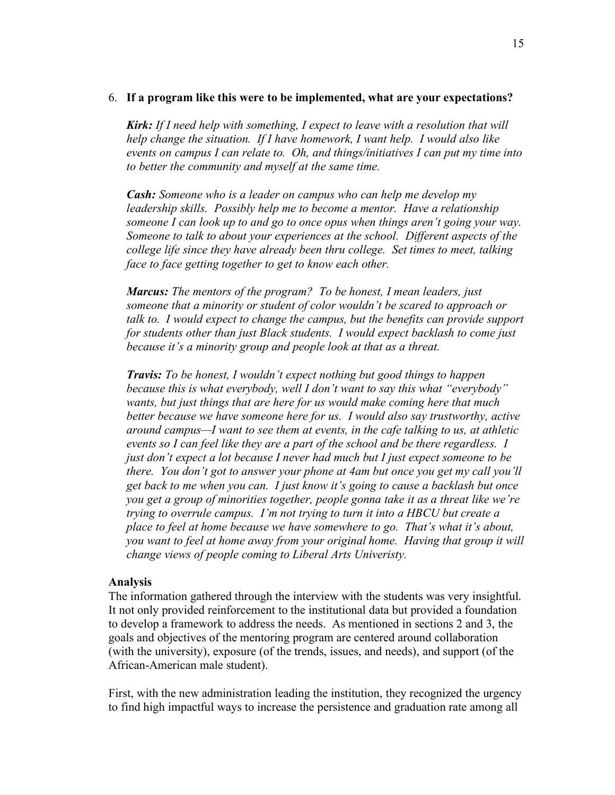#### 6. **If a program like this were to be implemented, what are your expectations?**

*Kirk: If I need help with something, I expect to leave with a resolution that will help change the situation. If I have homework, I want help. I would also like events on campus I can relate to. Oh, and things/initiatives I can put my time into to better the community and myself at the same time.* 

*Cash: Someone who is a leader on campus who can help me develop my leadership skills. Possibly help me to become a mentor. Have a relationship someone I can look up to and go to once opus when things aren't going your way. Someone to talk to about your experiences at the school. Different aspects of the college life since they have already been thru college. Set times to meet, talking face to face getting together to get to know each other.*

*Marcus: The mentors of the program? To be honest, I mean leaders, just someone that a minority or student of color wouldn't be scared to approach or talk to. I would expect to change the campus, but the benefits can provide support for students other than just Black students. I would expect backlash to come just because it's a minority group and people look at that as a threat.* 

*Travis: To be honest, I wouldn't expect nothing but good things to happen because this is what everybody, well I don't want to say this what "everybody" wants, but just things that are here for us would make coming here that much better because we have someone here for us. I would also say trustworthy, active around campus—I want to see them at events, in the cafe talking to us, at athletic events so I can feel like they are a part of the school and be there regardless. I just don't expect a lot because I never had much but I just expect someone to be there. You don't got to answer your phone at 4am but once you get my call you'll get back to me when you can. I just know it's going to cause a backlash but once you get a group of minorities together, people gonna take it as a threat like we're trying to overrule campus. I'm not trying to turn it into a HBCU but create a place to feel at home because we have somewhere to go. That's what it's about, you want to feel at home away from your original home. Having that group it will change views of people coming to Liberal Arts Univeristy.*

#### **Analysis**

The information gathered through the interview with the students was very insightful. It not only provided reinforcement to the institutional data but provided a foundation to develop a framework to address the needs. As mentioned in sections 2 and 3, the goals and objectives of the mentoring program are centered around collaboration (with the university), exposure (of the trends, issues, and needs), and support (of the African-American male student).

First, with the new administration leading the institution, they recognized the urgency to find high impactful ways to increase the persistence and graduation rate among all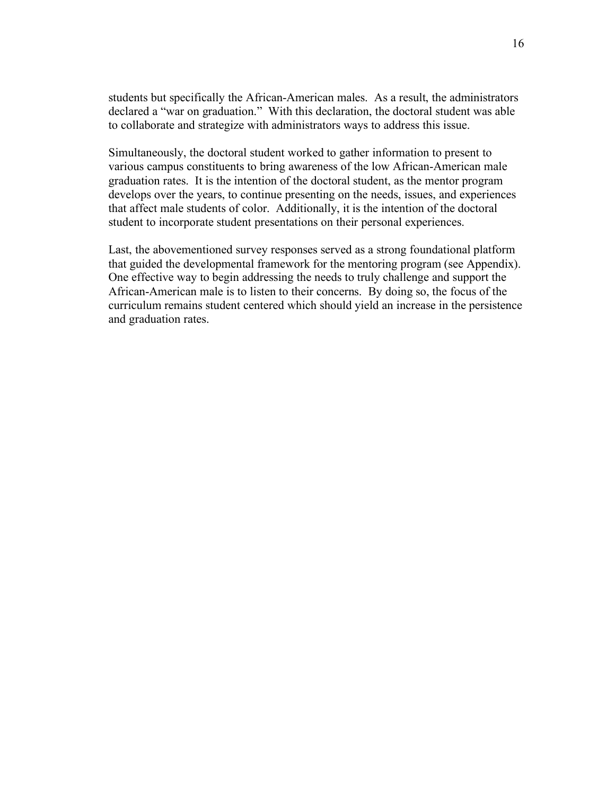students but specifically the African-American males. As a result, the administrators declared a "war on graduation." With this declaration, the doctoral student was able to collaborate and strategize with administrators ways to address this issue.

Simultaneously, the doctoral student worked to gather information to present to various campus constituents to bring awareness of the low African-American male graduation rates. It is the intention of the doctoral student, as the mentor program develops over the years, to continue presenting on the needs, issues, and experiences that affect male students of color. Additionally, it is the intention of the doctoral student to incorporate student presentations on their personal experiences.

Last, the abovementioned survey responses served as a strong foundational platform that guided the developmental framework for the mentoring program (see Appendix). One effective way to begin addressing the needs to truly challenge and support the African-American male is to listen to their concerns. By doing so, the focus of the curriculum remains student centered which should yield an increase in the persistence and graduation rates.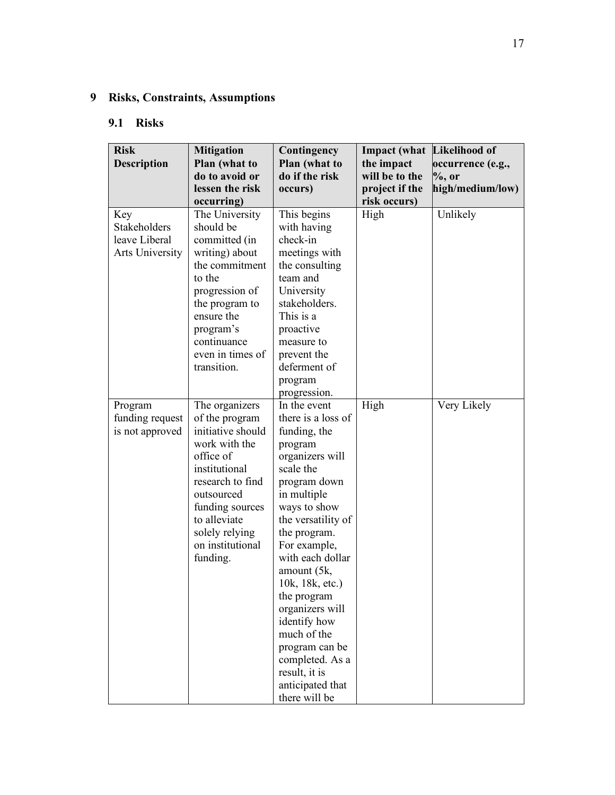# **9 Risks, Constraints, Assumptions**

## **9.1 Risks**

| <b>Risk</b><br><b>Description</b>                       | <b>Mitigation</b><br>Plan (what to<br>do to avoid or                                                                                                                                                                        | Contingency<br>Plan (what to<br>do if the risk                                                                                                                                                                                                                                                                                                                                                                       | <b>Impact</b> (what<br>the impact<br>will be to the | Likelihood of<br>occurrence (e.g.,<br>$\%$ , or |
|---------------------------------------------------------|-----------------------------------------------------------------------------------------------------------------------------------------------------------------------------------------------------------------------------|----------------------------------------------------------------------------------------------------------------------------------------------------------------------------------------------------------------------------------------------------------------------------------------------------------------------------------------------------------------------------------------------------------------------|-----------------------------------------------------|-------------------------------------------------|
|                                                         | lessen the risk<br>occurring)                                                                                                                                                                                               | occurs)                                                                                                                                                                                                                                                                                                                                                                                                              | project if the<br>risk occurs)                      | high/medium/low)                                |
| Key<br>Stakeholders<br>leave Liberal<br>Arts University | The University<br>should be<br>committed (in<br>writing) about<br>the commitment<br>to the<br>progression of<br>the program to<br>ensure the<br>program's<br>continuance<br>even in times of<br>transition.                 | This begins<br>with having<br>check-in<br>meetings with<br>the consulting<br>team and<br>University<br>stakeholders.<br>This is a<br>proactive<br>measure to<br>prevent the<br>deferment of<br>program<br>progression.                                                                                                                                                                                               | High                                                | Unlikely                                        |
| Program<br>funding request<br>is not approved           | The organizers<br>of the program<br>initiative should<br>work with the<br>office of<br>institutional<br>research to find<br>outsourced<br>funding sources<br>to alleviate<br>solely relying<br>on institutional<br>funding. | In the event<br>there is a loss of<br>funding, the<br>program<br>organizers will<br>scale the<br>program down<br>in multiple<br>ways to show<br>the versatility of<br>the program.<br>For example,<br>with each dollar<br>amount (5k,<br>10k, 18k, etc.)<br>the program<br>organizers will<br>identify how<br>much of the<br>program can be<br>completed. As a<br>result, it is<br>anticipated that<br>there will be | High                                                | Very Likely                                     |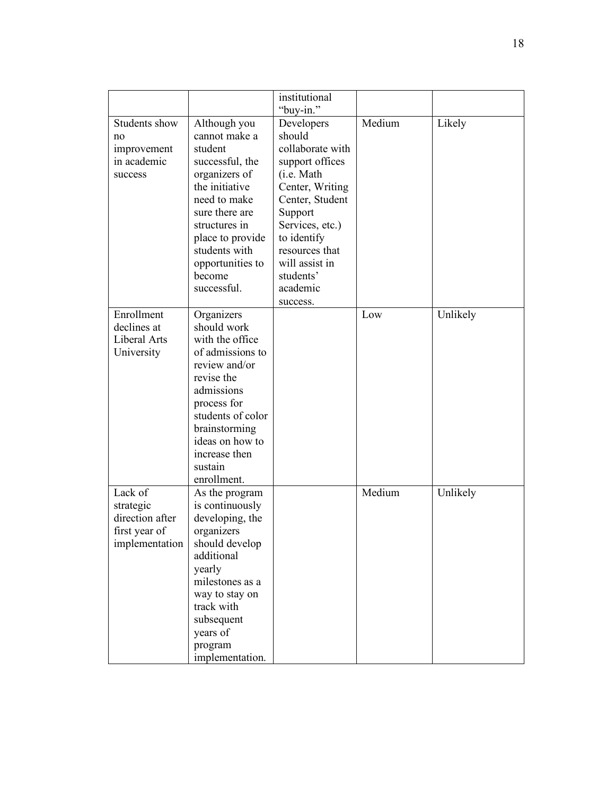|                                                              |                                                                                                                                                                                                                                     | institutional                                                                                                                                                                                                                          |        |          |
|--------------------------------------------------------------|-------------------------------------------------------------------------------------------------------------------------------------------------------------------------------------------------------------------------------------|----------------------------------------------------------------------------------------------------------------------------------------------------------------------------------------------------------------------------------------|--------|----------|
|                                                              |                                                                                                                                                                                                                                     | "buy-in."                                                                                                                                                                                                                              |        |          |
| Students show<br>no<br>improvement<br>in academic<br>success | Although you<br>cannot make a<br>student<br>successful, the<br>organizers of<br>the initiative<br>need to make<br>sure there are<br>structures in<br>place to provide<br>students with<br>opportunities to<br>become<br>successful. | Developers<br>should<br>collaborate with<br>support offices<br>(i.e. Math)<br>Center, Writing<br>Center, Student<br>Support<br>Services, etc.)<br>to identify<br>resources that<br>will assist in<br>students'<br>academic<br>success. | Medium | Likely   |
| Enrollment                                                   | Organizers                                                                                                                                                                                                                          |                                                                                                                                                                                                                                        | Low    | Unlikely |
| declines at                                                  | should work                                                                                                                                                                                                                         |                                                                                                                                                                                                                                        |        |          |
| Liberal Arts                                                 | with the office                                                                                                                                                                                                                     |                                                                                                                                                                                                                                        |        |          |
| University                                                   | of admissions to                                                                                                                                                                                                                    |                                                                                                                                                                                                                                        |        |          |
|                                                              | review and/or<br>revise the                                                                                                                                                                                                         |                                                                                                                                                                                                                                        |        |          |
|                                                              | admissions                                                                                                                                                                                                                          |                                                                                                                                                                                                                                        |        |          |
|                                                              | process for                                                                                                                                                                                                                         |                                                                                                                                                                                                                                        |        |          |
|                                                              | students of color                                                                                                                                                                                                                   |                                                                                                                                                                                                                                        |        |          |
|                                                              | brainstorming                                                                                                                                                                                                                       |                                                                                                                                                                                                                                        |        |          |
|                                                              | ideas on how to                                                                                                                                                                                                                     |                                                                                                                                                                                                                                        |        |          |
|                                                              | increase then                                                                                                                                                                                                                       |                                                                                                                                                                                                                                        |        |          |
|                                                              | sustain                                                                                                                                                                                                                             |                                                                                                                                                                                                                                        |        |          |
|                                                              | enrollment.                                                                                                                                                                                                                         |                                                                                                                                                                                                                                        |        |          |
| Lack of                                                      | As the program                                                                                                                                                                                                                      |                                                                                                                                                                                                                                        | Medium | Unlikely |
| strategic                                                    | is continuously                                                                                                                                                                                                                     |                                                                                                                                                                                                                                        |        |          |
| direction after                                              | developing, the                                                                                                                                                                                                                     |                                                                                                                                                                                                                                        |        |          |
| first year of                                                | organizers                                                                                                                                                                                                                          |                                                                                                                                                                                                                                        |        |          |
| implementation                                               | should develop                                                                                                                                                                                                                      |                                                                                                                                                                                                                                        |        |          |
|                                                              | additional                                                                                                                                                                                                                          |                                                                                                                                                                                                                                        |        |          |
|                                                              | yearly                                                                                                                                                                                                                              |                                                                                                                                                                                                                                        |        |          |
|                                                              | milestones as a                                                                                                                                                                                                                     |                                                                                                                                                                                                                                        |        |          |
|                                                              | way to stay on                                                                                                                                                                                                                      |                                                                                                                                                                                                                                        |        |          |
|                                                              | track with                                                                                                                                                                                                                          |                                                                                                                                                                                                                                        |        |          |
|                                                              | subsequent                                                                                                                                                                                                                          |                                                                                                                                                                                                                                        |        |          |
|                                                              | years of                                                                                                                                                                                                                            |                                                                                                                                                                                                                                        |        |          |
|                                                              | program                                                                                                                                                                                                                             |                                                                                                                                                                                                                                        |        |          |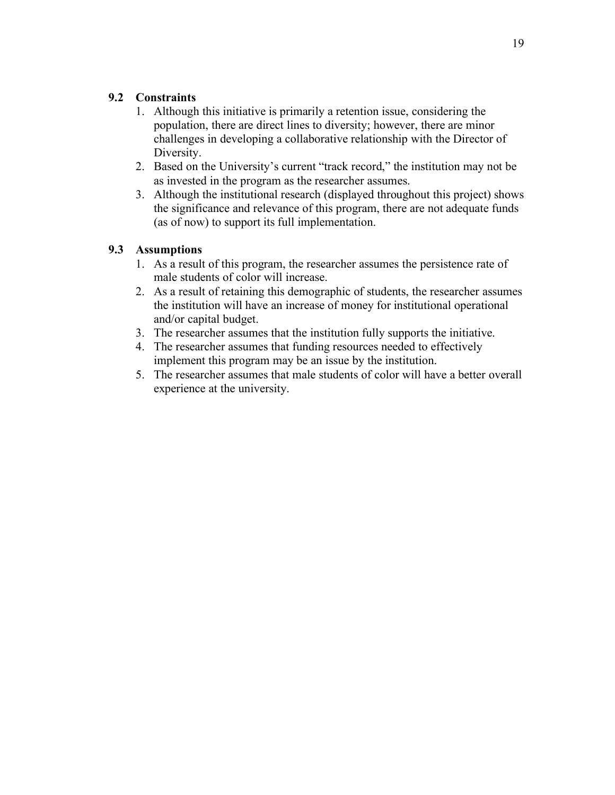## **9.2 Constraints**

- 1. Although this initiative is primarily a retention issue, considering the population, there are direct lines to diversity; however, there are minor challenges in developing a collaborative relationship with the Director of Diversity.
- 2. Based on the University's current "track record," the institution may not be as invested in the program as the researcher assumes.
- 3. Although the institutional research (displayed throughout this project) shows the significance and relevance of this program, there are not adequate funds (as of now) to support its full implementation.

## **9.3 Assumptions**

- 1. As a result of this program, the researcher assumes the persistence rate of male students of color will increase.
- 2. As a result of retaining this demographic of students, the researcher assumes the institution will have an increase of money for institutional operational and/or capital budget.
- 3. The researcher assumes that the institution fully supports the initiative.
- 4. The researcher assumes that funding resources needed to effectively implement this program may be an issue by the institution.
- 5. The researcher assumes that male students of color will have a better overall experience at the university.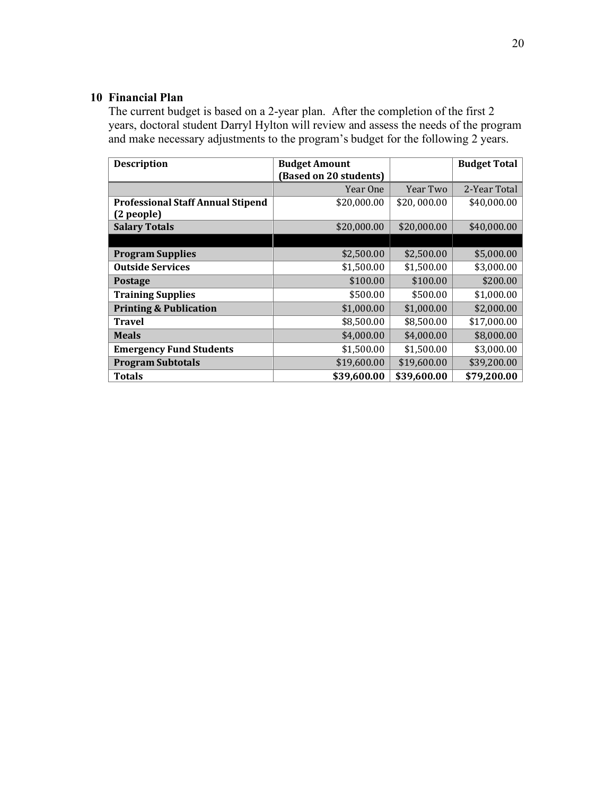## **10 Financial Plan**

The current budget is based on a 2-year plan. After the completion of the first 2 years, doctoral student Darryl Hylton will review and assess the needs of the program and make necessary adjustments to the program's budget for the following 2 years.

| <b>Description</b>                       | <b>Budget Amount</b>   |             | <b>Budget Total</b> |
|------------------------------------------|------------------------|-------------|---------------------|
|                                          | (Based on 20 students) |             |                     |
|                                          | Year One               | Year Two    | 2-Year Total        |
| <b>Professional Staff Annual Stipend</b> | \$20,000.00            | \$20,000.00 | \$40,000.00         |
| (2 people)                               |                        |             |                     |
| <b>Salary Totals</b>                     | \$20,000.00            | \$20,000.00 | \$40,000.00         |
|                                          |                        |             |                     |
| <b>Program Supplies</b>                  | \$2,500.00             | \$2,500.00  | \$5,000.00          |
| <b>Outside Services</b>                  | \$1,500.00             | \$1,500.00  | \$3,000.00          |
| <b>Postage</b>                           | \$100.00               | \$100.00    | \$200.00            |
| <b>Training Supplies</b>                 | \$500.00               | \$500.00    | \$1,000.00          |
| <b>Printing &amp; Publication</b>        | \$1,000.00             | \$1,000.00  | \$2,000.00          |
| <b>Travel</b>                            | \$8,500.00             | \$8,500.00  | \$17,000.00         |
| <b>Meals</b>                             | \$4,000.00             | \$4,000.00  | \$8,000.00          |
| <b>Emergency Fund Students</b>           | \$1,500.00             | \$1,500.00  | \$3,000.00          |
| <b>Program Subtotals</b>                 | \$19,600.00            | \$19,600.00 | \$39,200.00         |
| <b>Totals</b>                            | \$39,600.00            | \$39,600.00 | \$79,200.00         |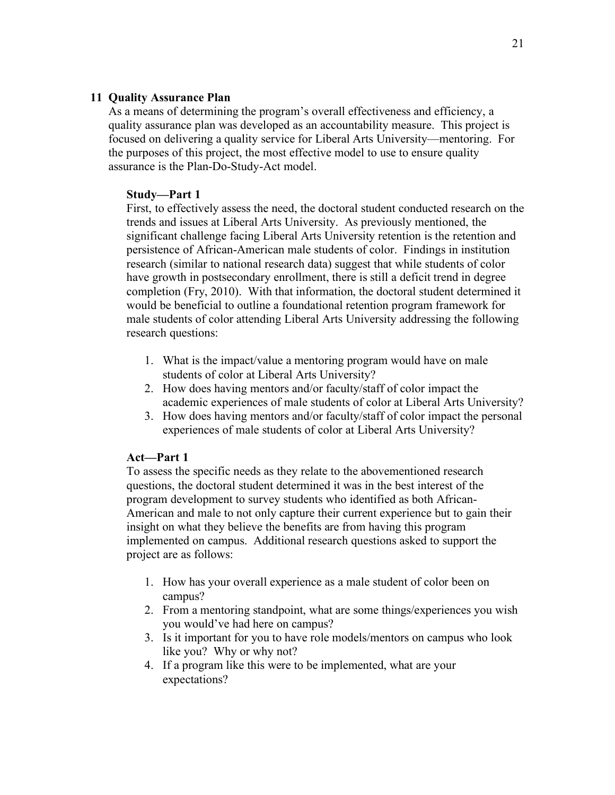## **11 Quality Assurance Plan**

As a means of determining the program's overall effectiveness and efficiency, a quality assurance plan was developed as an accountability measure. This project is focused on delivering a quality service for Liberal Arts University—mentoring. For the purposes of this project, the most effective model to use to ensure quality assurance is the Plan-Do-Study-Act model.

## **Study—Part 1**

First, to effectively assess the need, the doctoral student conducted research on the trends and issues at Liberal Arts University. As previously mentioned, the significant challenge facing Liberal Arts University retention is the retention and persistence of African-American male students of color. Findings in institution research (similar to national research data) suggest that while students of color have growth in postsecondary enrollment, there is still a deficit trend in degree completion (Fry, 2010). With that information, the doctoral student determined it would be beneficial to outline a foundational retention program framework for male students of color attending Liberal Arts University addressing the following research questions:

- 1. What is the impact/value a mentoring program would have on male students of color at Liberal Arts University?
- 2. How does having mentors and/or faculty/staff of color impact the academic experiences of male students of color at Liberal Arts University?
- 3. How does having mentors and/or faculty/staff of color impact the personal experiences of male students of color at Liberal Arts University?

## **Act—Part 1**

To assess the specific needs as they relate to the abovementioned research questions, the doctoral student determined it was in the best interest of the program development to survey students who identified as both African-American and male to not only capture their current experience but to gain their insight on what they believe the benefits are from having this program implemented on campus. Additional research questions asked to support the project are as follows:

- 1. How has your overall experience as a male student of color been on campus?
- 2. From a mentoring standpoint, what are some things/experiences you wish you would've had here on campus?
- 3. Is it important for you to have role models/mentors on campus who look like you? Why or why not?
- 4. If a program like this were to be implemented, what are your expectations?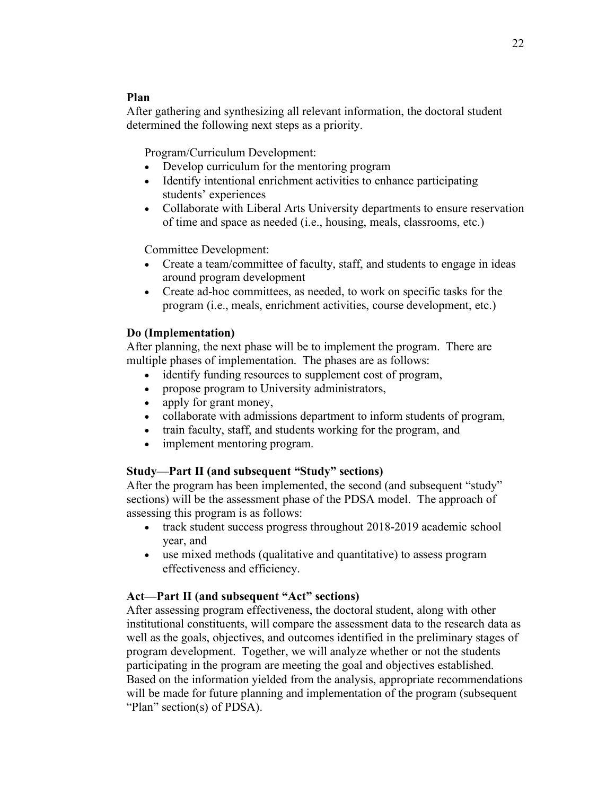### **Plan**

After gathering and synthesizing all relevant information, the doctoral student determined the following next steps as a priority.

Program/Curriculum Development:

- Develop curriculum for the mentoring program
- Identify intentional enrichment activities to enhance participating students' experiences
- Collaborate with Liberal Arts University departments to ensure reservation of time and space as needed (i.e., housing, meals, classrooms, etc.)

Committee Development:

- Create a team/committee of faculty, staff, and students to engage in ideas around program development
- Create ad-hoc committees, as needed, to work on specific tasks for the program (i.e., meals, enrichment activities, course development, etc.)

### **Do (Implementation)**

After planning, the next phase will be to implement the program. There are multiple phases of implementation. The phases are as follows:

- identify funding resources to supplement cost of program,
- propose program to University administrators,
- apply for grant money,
- collaborate with admissions department to inform students of program,
- train faculty, staff, and students working for the program, and
- implement mentoring program.

## **Study—Part II (and subsequent "Study" sections)**

After the program has been implemented, the second (and subsequent "study" sections) will be the assessment phase of the PDSA model. The approach of assessing this program is as follows:

- track student success progress throughout 2018-2019 academic school year, and
- use mixed methods (qualitative and quantitative) to assess program effectiveness and efficiency.

## **Act—Part II (and subsequent "Act" sections)**

After assessing program effectiveness, the doctoral student, along with other institutional constituents, will compare the assessment data to the research data as well as the goals, objectives, and outcomes identified in the preliminary stages of program development. Together, we will analyze whether or not the students participating in the program are meeting the goal and objectives established. Based on the information yielded from the analysis, appropriate recommendations will be made for future planning and implementation of the program (subsequent "Plan" section(s) of PDSA).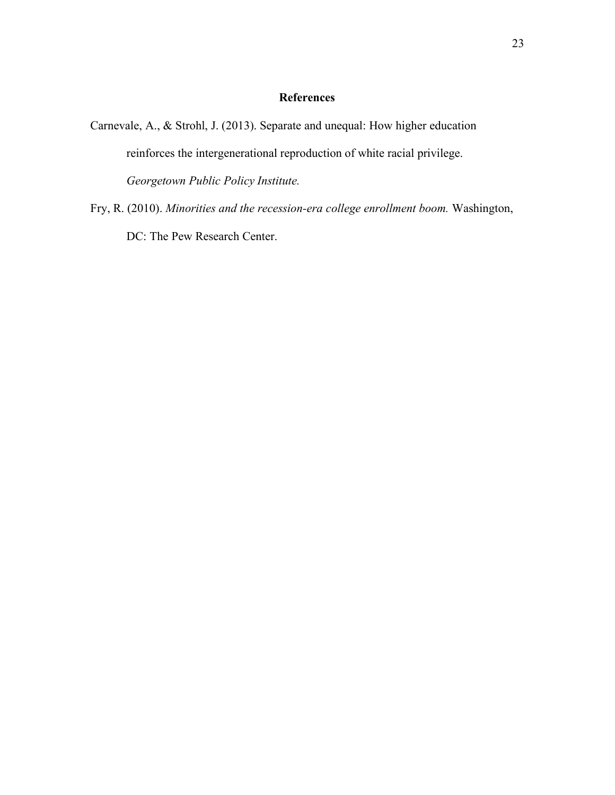## **References**

Carnevale, A., & Strohl, J. (2013). Separate and unequal: How higher education reinforces the intergenerational reproduction of white racial privilege. *Georgetown Public Policy Institute.*

Fry, R. (2010). *Minorities and the recession-era college enrollment boom.* Washington, DC: The Pew Research Center.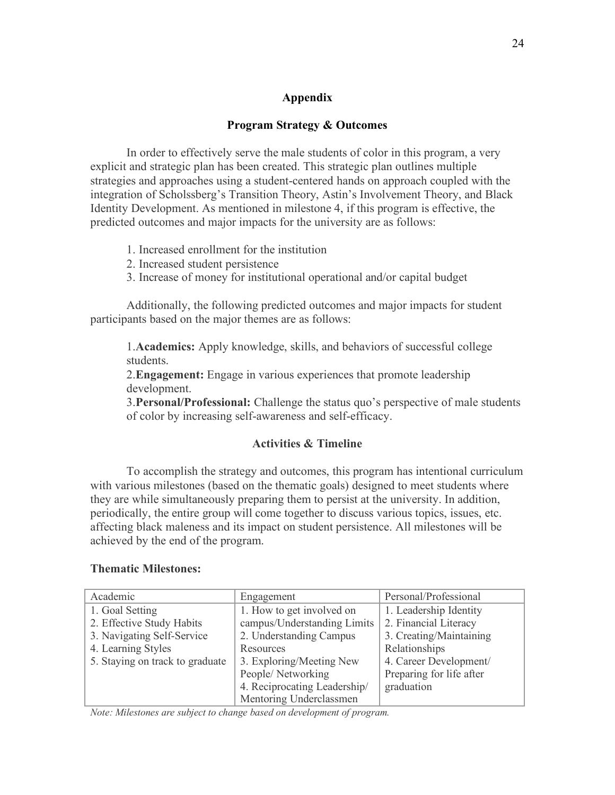### **Appendix**

#### **Program Strategy & Outcomes**

In order to effectively serve the male students of color in this program, a very explicit and strategic plan has been created. This strategic plan outlines multiple strategies and approaches using a student-centered hands on approach coupled with the integration of Scholssberg's Transition Theory, Astin's Involvement Theory, and Black Identity Development. As mentioned in milestone 4, if this program is effective, the predicted outcomes and major impacts for the university are as follows:

- 1. Increased enrollment for the institution
- 2. Increased student persistence
- 3. Increase of money for institutional operational and/or capital budget

Additionally, the following predicted outcomes and major impacts for student participants based on the major themes are as follows:

1.**Academics:** Apply knowledge, skills, and behaviors of successful college students.

2.**Engagement:** Engage in various experiences that promote leadership development.

3.**Personal/Professional:** Challenge the status quo's perspective of male students of color by increasing self-awareness and self-efficacy.

#### **Activities & Timeline**

To accomplish the strategy and outcomes, this program has intentional curriculum with various milestones (based on the thematic goals) designed to meet students where they are while simultaneously preparing them to persist at the university. In addition, periodically, the entire group will come together to discuss various topics, issues, etc. affecting black maleness and its impact on student persistence. All milestones will be achieved by the end of the program.

#### **Thematic Milestones:**

| Academic                        | Engagement                   | Personal/Professional    |
|---------------------------------|------------------------------|--------------------------|
| 1. Goal Setting                 | 1. How to get involved on    | 1. Leadership Identity   |
| 2. Effective Study Habits       | campus/Understanding Limits  | 2. Financial Literacy    |
| 3. Navigating Self-Service      | 2. Understanding Campus      | 3. Creating/Maintaining  |
| 4. Learning Styles              | Resources                    | Relationships            |
| 5. Staying on track to graduate | 3. Exploring/Meeting New     | 4. Career Development/   |
|                                 | People/Networking            | Preparing for life after |
|                                 | 4. Reciprocating Leadership/ | graduation               |
|                                 | Mentoring Underclassmen      |                          |

*Note: Milestones are subject to change based on development of program.*